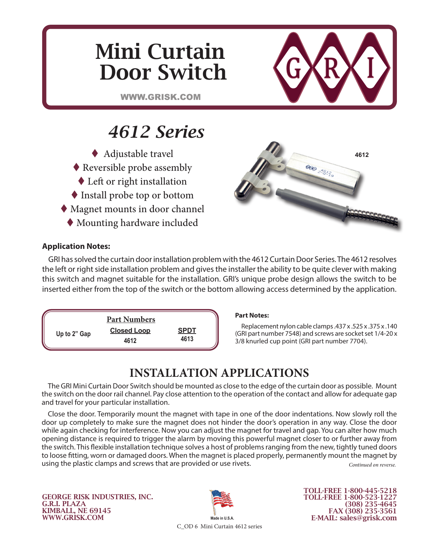# Mini Curtain Door Switch



WWW.GRISK.COM

## *4612 Series*

◆ Adjustable travel Reversible probe assembly Left or right installation Install probe top or bottom Magnet mounts in door channel Mounting hardware included



### **Application Notes:**

GRI has solved the curtain door installation problem with the 4612 Curtain Door Series. The 4612 resolves the left or right side installation problem and gives the installer the ability to be quite clever with making this switch and magnet suitable for the installation. GRI's unique probe design allows the switch to be inserted either from the top of the switch or the bottom allowing access determined by the application.



Replacement nylon cable clamps .437 x .525 x .375 x .140 (GRI part number 7548) and screws are socket set 1/4-20 x 3/8 knurled cup point (GRI part number 7704).

## **INSTALLATION APPLICATIONS**

The GRI Mini Curtain Door Switch should be mounted as close to the edge of the curtain door as possible. Mount the switch on the door rail channel. Pay close attention to the operation of the contact and allow for adequate gap and travel for your particular installation.

Close the door. Temporarily mount the magnet with tape in one of the door indentations. Now slowly roll the door up completely to make sure the magnet does not hinder the door's operation in any way. Close the door while again checking for interference. Now you can adjust the magnet for travel and gap. You can alter how much opening distance is required to trigger the alarm by moving this powerful magnet closer to or further away from the switch. This flexible installation technique solves a host of problems ranging from the new, tightly tuned doors to loose fitting, worn or damaged doors. When the magnet is placed properly, permanently mount the magnet by using the plastic clamps and screws that are provided or use rivets. *Continued on reverse.*

GEORGE RISK INDUSTRIES, INC. G.R.I. PLAZA KIMBALL, NE 69145 WWW.GRISK.COM



TOLL-FREE 1-800-445-5218 TOLL-FREE 1-800-523-1227 (308) 235-4645 FAX (308) 235-3561 E-MAIL: sales@grisk.com